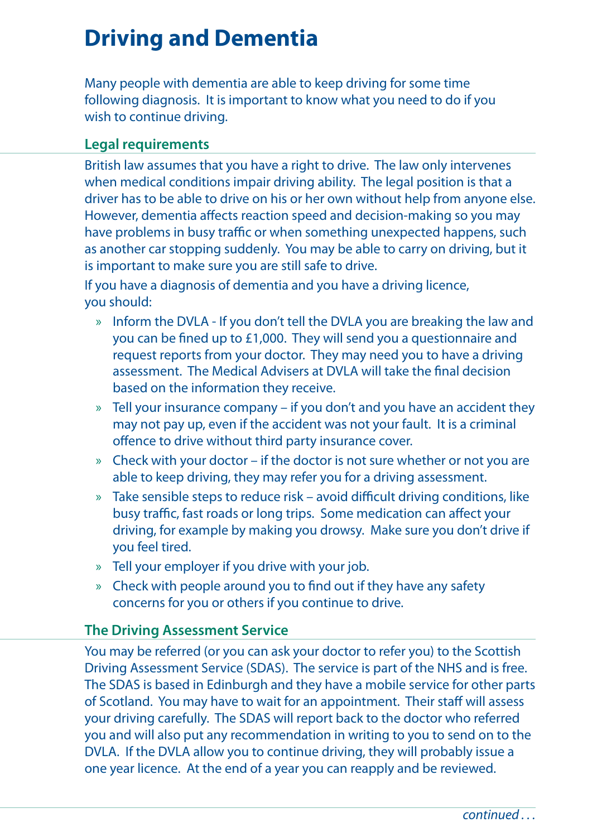# **Driving and Dementia**

Many people with dementia are able to keep driving for some time following diagnosis. It is important to know what you need to do if you wish to continue driving.

#### **Legal requirements**

British law assumes that you have a right to drive. The law only intervenes when medical conditions impair driving ability. The legal position is that a driver has to be able to drive on his or her own without help from anyone else. However, dementia affects reaction speed and decision-making so you may have problems in busy traffic or when something unexpected happens, such as another car stopping suddenly. You may be able to carry on driving, but it is important to make sure you are still safe to drive.

If you have a diagnosis of dementia and you have a driving licence, you should:

- » Inform the DVLA If you don't tell the DVLA you are breaking the law and you can be fined up to £1,000. They will send you a questionnaire and request reports from your doctor. They may need you to have a driving assessment. The Medical Advisers at DVLA will take the final decision based on the information they receive.
- » Tell your insurance company if you don't and you have an accident they may not pay up, even if the accident was not your fault. It is a criminal offence to drive without third party insurance cover.
- » Check with your doctor if the doctor is not sure whether or not you are able to keep driving, they may refer you for a driving assessment.
- » Take sensible steps to reduce risk avoid difficult driving conditions, like busy traffic, fast roads or long trips. Some medication can affect your driving, for example by making you drowsy. Make sure you don't drive if you feel tired.
- » Tell your employer if you drive with your job.
- » Check with people around you to find out if they have any safety concerns for you or others if you continue to drive.

#### **The Driving Assessment Service**

You may be referred (or you can ask your doctor to refer you) to the Scottish Driving Assessment Service (SDAS). The service is part of the NHS and is free. The SDAS is based in Edinburgh and they have a mobile service for other parts of Scotland. You may have to wait for an appointment. Their staff will assess your driving carefully. The SDAS will report back to the doctor who referred you and will also put any recommendation in writing to you to send on to the DVLA. If the DVLA allow you to continue driving, they will probably issue a one year licence. At the end of a year you can reapply and be reviewed.